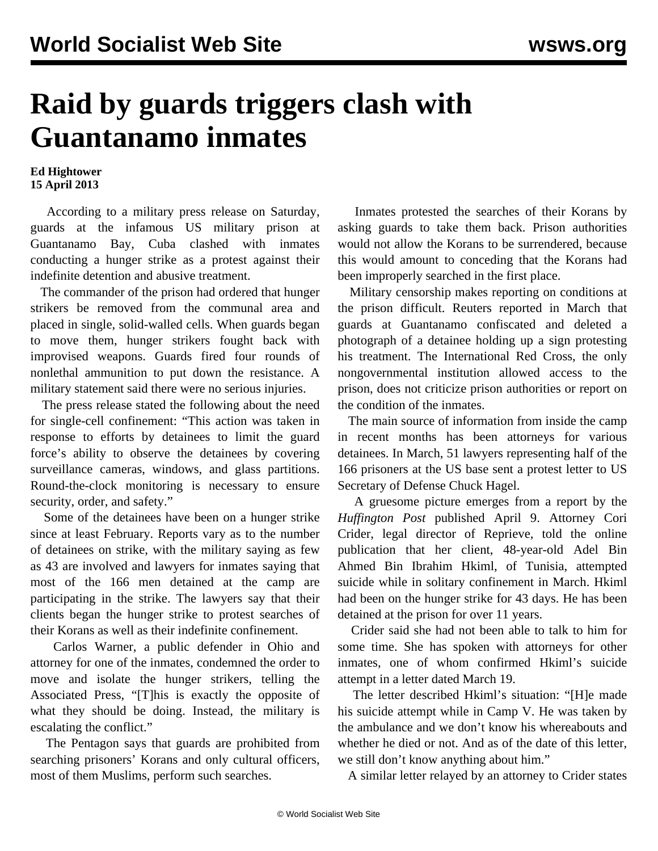## **Raid by guards triggers clash with Guantanamo inmates**

## **Ed Hightower 15 April 2013**

 According to a military press release on Saturday, guards at the infamous US military prison at Guantanamo Bay, Cuba clashed with inmates conducting a hunger strike as a protest against their indefinite detention and abusive treatment.

 The commander of the prison had ordered that hunger strikers be removed from the communal area and placed in single, solid-walled cells. When guards began to move them, hunger strikers fought back with improvised weapons. Guards fired four rounds of nonlethal ammunition to put down the resistance. A military statement said there were no serious injuries.

 The press release stated the following about the need for single-cell confinement: "This action was taken in response to efforts by detainees to limit the guard force's ability to observe the detainees by covering surveillance cameras, windows, and glass partitions. Round-the-clock monitoring is necessary to ensure security, order, and safety."

 Some of the detainees have been on a hunger strike since at least February. Reports vary as to the number of detainees on strike, with the military saying as few as 43 are involved and lawyers for inmates saying that most of the 166 men detained at the camp are participating in the strike. The lawyers say that their clients began the hunger strike to protest searches of their Korans as well as their indefinite confinement.

 Carlos Warner, a public defender in Ohio and attorney for one of the inmates, condemned the order to move and isolate the hunger strikers, telling the Associated Press, "[T]his is exactly the opposite of what they should be doing. Instead, the military is escalating the conflict."

 The Pentagon says that guards are prohibited from searching prisoners' Korans and only cultural officers, most of them Muslims, perform such searches.

 Inmates protested the searches of their Korans by asking guards to take them back. Prison authorities would not allow the Korans to be surrendered, because this would amount to conceding that the Korans had been improperly searched in the first place.

 Military censorship makes reporting on conditions at the prison difficult. Reuters reported in March that guards at Guantanamo confiscated and deleted a photograph of a detainee holding up a sign protesting his treatment. The International Red Cross, the only nongovernmental institution allowed access to the prison, does not criticize prison authorities or report on the condition of the inmates.

 The main source of information from inside the camp in recent months has been attorneys for various detainees. In March, 51 lawyers representing half of the 166 prisoners at the US base sent a protest letter to US Secretary of Defense Chuck Hagel.

 A gruesome picture emerges from a report by the *Huffington Post* published April 9. Attorney Cori Crider, legal director of Reprieve, told the online publication that her client, 48-year-old Adel Bin Ahmed Bin Ibrahim Hkiml, of Tunisia, attempted suicide while in solitary confinement in March. Hkiml had been on the hunger strike for 43 days. He has been detained at the prison for over 11 years.

 Crider said she had not been able to talk to him for some time. She has spoken with attorneys for other inmates, one of whom confirmed Hkiml's suicide attempt in a letter dated March 19.

 The letter described Hkiml's situation: "[H]e made his suicide attempt while in Camp V. He was taken by the ambulance and we don't know his whereabouts and whether he died or not. And as of the date of this letter, we still don't know anything about him."

A similar letter relayed by an attorney to Crider states